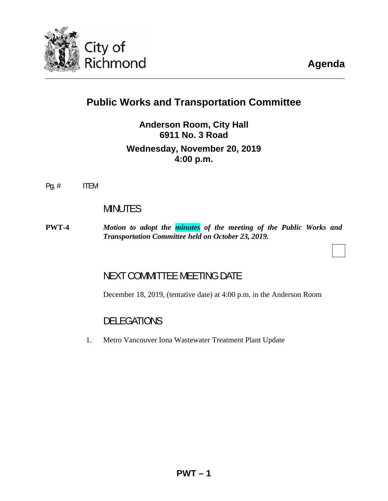

**Agenda**

# **Public Works and Transportation Committee**

## **Anderson Room, City Hall 6911 No. 3 Road Wednesday, November 20, 2019 4:00 p.m.**

Pg. # ITEM

## MINUTES

**PWT-4** *Motion to adopt the [minutes](#page-3-0) of the meeting of the Public Works and Transportation Committee held on October 23, 2019.* 

## NEXT COMMITTEE MEETING DATE

December 18, 2019, (tentative date) at 4:00 p.m. in the Anderson Room

## DELEGATIONS

1. Metro Vancouver Iona Wastewater Treatment Plant Update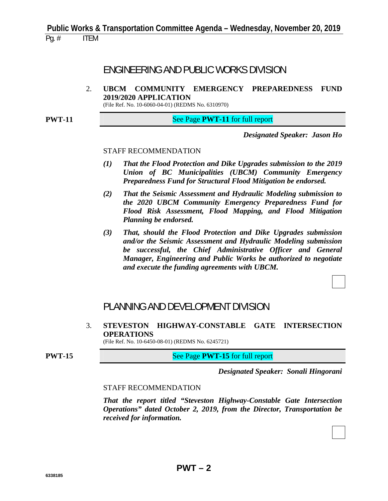## ENGINEERING AND PUBLIC WORKS DIVISION

2. **UBCM COMMUNITY EMERGENCY PREPAREDNESS FUND 2019/2020 APPLICATION** 

(File Ref. No. 10-6060-04-01) (REDMS No. 6310970)

**PWT-11** See Page **PWT-11** for full report

*Designated Speaker: Jason Ho*

#### STAFF RECOMMENDATION

- *(1) That the Flood Protection and Dike Upgrades submission to the 2019 Union of BC Municipalities (UBCM) Community Emergency Preparedness Fund for Structural Flood Mitigation be endorsed.*
- *(2) That the Seismic Assessment and Hydraulic Modeling submission to the 2020 UBCM Community Emergency Preparedness Fund for Flood Risk Assessment, Flood Mapping, and Flood Mitigation Planning be endorsed.*
- *(3) That, should the Flood Protection and Dike Upgrades submission and/or the Seismic Assessment and Hydraulic Modeling submission be successful, the Chief Administrative Officer and General Manager, Engineering and Public Works be authorized to negotiate and execute the funding agreements with UBCM.*

## PLANNING AND DEVELOPMENT DIVISION

3. **STEVESTON HIGHWAY-CONSTABLE GATE INTERSECTION OPERATIONS** 

(File Ref. No. 10-6450-08-01) (REDMS No. 6245721)

**PWT-15 See Page PWT-15** for full report

*Designated Speaker: Sonali Hingorani*

#### STAFF RECOMMENDATION

 *That the report titled "Steveston Highway-Constable Gate Intersection Operations" dated October 2, 2019, from the Director, Transportation be received for information.*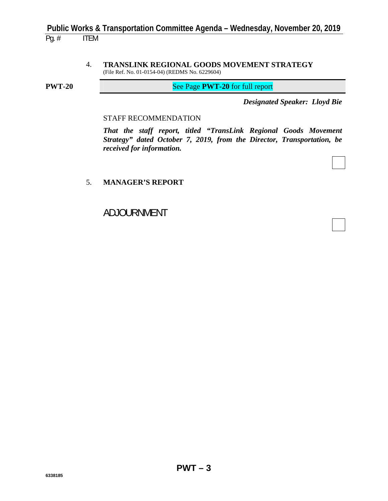4. **TRANSLINK REGIONAL GOODS MOVEMENT STRATEGY**  (File Ref. No. 01-0154-04) (REDMS No. 6229604)

**PWT-20** See Page **PWT-20** for full report

*Designated Speaker: Lloyd Bie*

#### STAFF RECOMMENDATION

 *That the staff report, titled "TransLink Regional Goods Movement Strategy" dated October 7, 2019, from the Director, Transportation, be received for information.* 

#### 5. **MANAGER'S REPORT**

ADJOURNMENT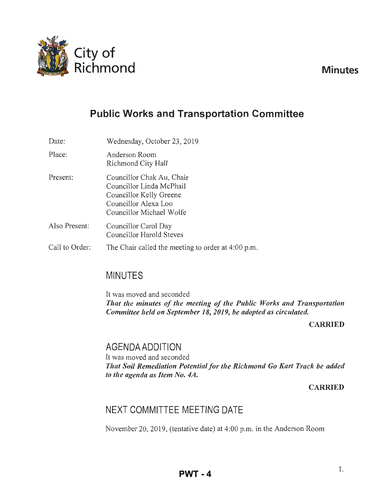<span id="page-3-0"></span>

# **Public Works and Transportation Committee**

Date: Place: Present: Also Present: Call to Order: Wednesday, October 23,2019 Anderson Room Richmond City Hall Councillor Chak Au, Chair Councillor Linda McPhail Councillor Kelly Greene Councillor Alexa Loo Councillor Michael Wolfe Councillor Carol Day Councillor Harold Steves The Chair called the meeting to order at 4:00 p.m.

# MINUTES

It was moved and seconded *That the minutes of the meeting of the Public Works and Transportation Committee held on September 18, 2019, be adopted as circulated.* 

### CARRIED

## AGENDA ADDITION

It was moved and seconded *That Soil Remediation Potential for the Richmond Go Kart Track be added to the agenda as Item No. 4A.* 

CARRIED

# NEXT COMMITTEE MEETING DATE

November 20, 2019, (tentative date) at 4:00 p.m. in the Anderson Room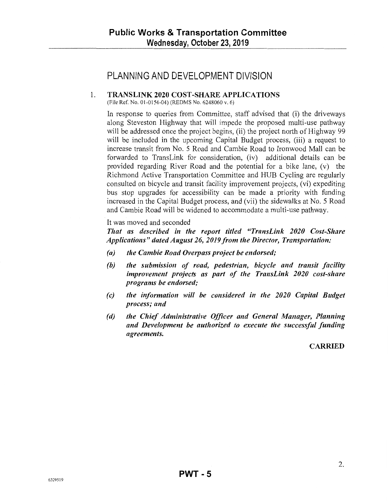## PLANNING AND DEVELOPMENT DIVISION

### 1. TRANSLINK 2020 COST-SHARE APPLICATIONS

(File Ref. No. 01-0154-04) (REDMS No. 6248060 v. 6)

In response to queries from Committee, staff advised that (i) the driveways along Steveston Highway that will impede the proposed multi-use pathway will be addressed once the project begins, (ii) the project north of Highway 99 will be included in the upcoming Capital Budget process, (iii) a request to increase transit from No. 5 Road and Cambie Road to Ironwood Mall can be forwarded to TransLink for consideration, (iv) additional details can be provided regarding River Road and the potential for a bike lane, (v) the Richmond Active Transportation Committee and HUB Cycling are regularly consulted on bicycle and transit facility improvement projects, (vi) expediting bus stop upgrades for accessibility can be made a priority with funding increased in the Capital Budget process, and (vii) the sidewalks at No. 5 Road and Cambie Road will be widened to accommodate a multi-use pathway.

It was moved and seconded

That as described in the report titled "TransLink 2020 Cost-Share *Applications" dated August 26, 2019 from the Director, Transportation:* 

- *(a) the Cambie Road Overpass project be endorsed;*
- *(b) the submission of road, pedestrian, bicycle and transit facility improvement projects as part of the TransLink 2020 cost-share programs be endorsed;*
- *(c) the information will be considered in the 2020 Capital Budget process; and*
- *(d) the Chief Administrative Officer and General Manager, Planning and Development be authorized to execute the successful funding agreements.*

CARRIED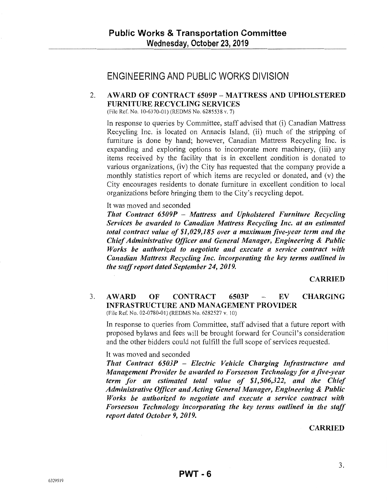## ENGINEERING AND PUBLIC WORKS DIVISION

## 2. AWARD OF CONTRACT 6509P - MATTRESS AND UPHOLSTERED FURNITURE RECYCLING SERVICES

(File Ref. No. 10-6370-01) (REDMS No. 6285538 v. 7)

In response to queries by Committee, staff advised that (i) Canadian Mattress Recycling Inc. is located on Annacis Island, (ii) much of the stripping of furniture is done by hand; however, Canadian Mattress Recycling Inc. is expanding and exploring options to incorporate more machinery, (iii) any items received by the facility that is in excellent condition is donated to various organizations, (iv) the City has requested that the company provide a monthly statistics report of which items are recycled or donated, and (v) the City encourages residents to donate furniture in excellent condition to local organizations before bringing them to the City's recycling depot.

It was moved and seconded

*That Contract 6509P* - *Mattress and Upholstered Furniture Recycling Services be awarded to Canadian Mattress Recycling Inc. at an estimated total contract value of \$1,029,185 over a maximum five-year term and the Chief Administrative Officer and General Manager, Engineering* & *Public Works be authorized to negotiate and execute a service contract with Canadian Mattress Recycling Inc. incorporating the key terms outlined in the staff report dated September 24, 2019.* 

#### CARRIED

#### 3. AWARD OF CONTRACT 6503P - EV CHARGING INFRASTRUCTURE AND MANAGEMENT PROVIDER (File Ref. No. 02-0780-01) (REDMS No. 6282527 v. 10)

In response to queries from Committee, staff advised that a future report with proposed bylaws and fees will be brought forward for Council's consideration and the other bidders could not fulfill the full scope of services requested.

#### It was moved and seconded

*That Contract 6503P Electric Vehicle Charging Infrastructure and Management Provider be awarded to Forseeson Technology for a five-year term for an estimated total value of \$1,506,322, and the Chief Administrative Officer and Acting General Manager, Engineering* & *Public Works be authorized to negotiate and execute a service contract with Forseeson Technology incorporating the key terms outlined in the staff report dated October 9, 2019.* 

CARRIED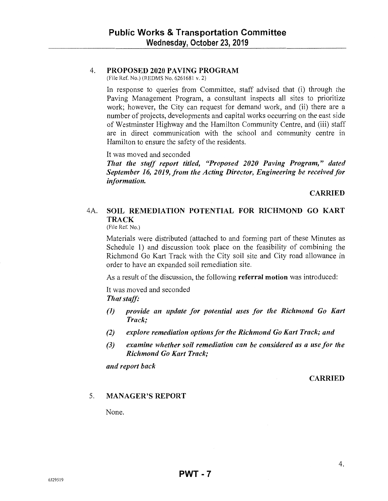### 4. PROPOSED 2020 PAVING PROGRAM

(File Ref. No.) (REDMS No. 6261681 v. 2)

In response to queries from Committee, staff advised that (i) through the Paving Management Program, a consultant inspects all sites to prioritize work; however, the City can request for demand work, and (ii) there are a number of projects, developments and capital works occurring on the east side of Westminster Highway and the Hamilton Community Centre, and (iii) staff are in direct communication with the school and community centre in Hamilton to ensure the safety of the residents.

It was moved and seconded

*That the staff report titled, "Proposed 2020 Paving Program," dated September 16, 2019, from the Acting Director, Engineering be received for information.* 

**CARRIED** 

## 4A. SOIL REMEDIATION POTENTIAL FOR RICHMOND GO KART **TRACK**

(File Ref. No.)

Materials were distributed (attached to and forming part of these Minutes as Schedule 1) and discussion took place on the feasibility of combining the Richmond Go Kart Track with the City soil site and City road allowance in order to have an expanded soil remediation site.

As a result of the discussion, the following referral motion was introduced:

It was moved and seconded *That staff:* 

- *(1) provide an update for potential uses for the Richmond Go Kart Track;*
- *(2) explore remediation options for the Richmond Go Kart Track; and*
- *(3) examine whether soil remediation can be considered as a use for the Richmond Go Kart Track;*

*and report back* 

**CARRIED** 

#### 5. MANAGER'S REPORT

None.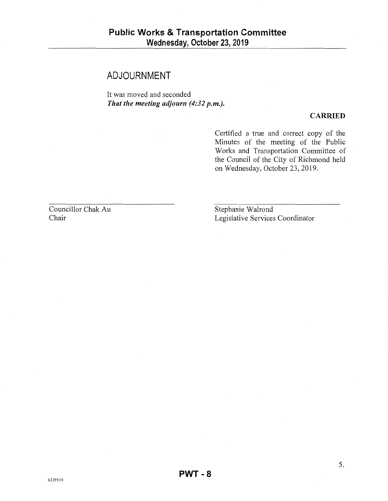## **ADJOURNMENT**

It was moved and seconded *That the meeting adjourn (4:32 p.m.).* 

#### **CARRIED**

Certified a true and correct copy of the Minutes of the meeting of the Public Works and Transportation Committee of the Council of the City of Richmond held on Wednesday, October 23, 2019.

Councillor Chak Au Chair

Stephanie Walrond Legislative Services Coordinator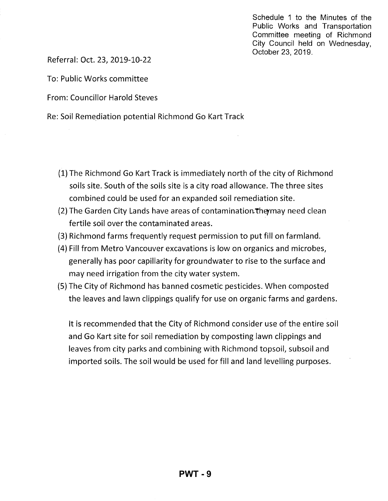Schedule 1 to the Minutes of the Public Works and Transportation Committee meeting of Richmond City Council held on Wednesday, October 23, 2019.

Referral: Oct. 23, 2019-10-22

To: Public Works committee

From: Councillor Harold Steves

Re: Soil Remediation potential Richmond Go Kart Track

- (1) The Richmond Go Kart Track is immediately north of the city of Richmond soils site. South of the soils site is a city road allowance. The three sites combined could be used for an expanded soil remediation site.
- (2) The Garden City Lands have areas of contamination. The may need clean fertile soil over the contaminated areas.
- (3) Richmond farms frequently request permission to put fill on farmland.
- (4) Fill from Metro Vancouver excavations is low on organics and microbes, generally has poor capillarity for groundwater to rise to the surface and may need irrigation from the city water system.
- (5) The City of Richmond has banned cosmetic pesticides. When com posted the leaves and lawn clippings qualify for use on organic farms and gardens.

It is recommended that the City of Richmond consider use of the entire soil and Go Kart site for soil remediation by composting lawn clippings and leaves from city parks and combining with Richmond topsoil, subsoil and imported soils. The soil would be used for fill and land levelling purposes.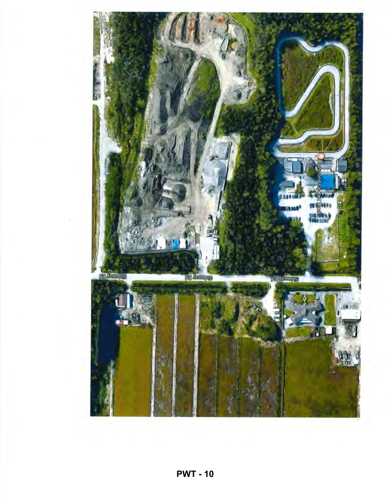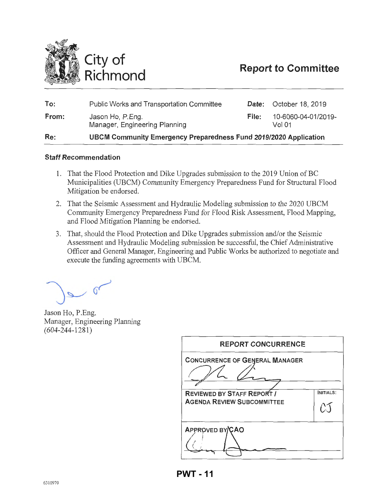<span id="page-10-0"></span>

# **Report to Committee**

| To:   | <b>Public Works and Transportation Committee</b>                        |       | <b>Date:</b> October 18, 2019 |
|-------|-------------------------------------------------------------------------|-------|-------------------------------|
| From: | Jason Ho, P.Eng.<br>Manager, Engineering Planning                       | File: | 10-6060-04-01/2019-<br>Vol 01 |
| Re:   | <b>UBCM Community Emergency Preparedness Fund 2019/2020 Application</b> |       |                               |

#### **Staff Recommendation**

- 1. That the Flood Protection and Dike Upgrades submission to the 2019 Union of BC Municipalities (UBCM) Community Emergency Preparedness Fund for Structural Flood Mitigation be endorsed.
- 2. That the Seismic Assessment and Hydraulic Modeling submission to the 2020 UBCM Community Emergency Preparedness Fund for Flood Risk Assessment, Flood Mapping, and Flood Mitigation Planning be endorsed.
- 3. That, should the Flood Protection and Dike Upgrades submission and/or the Seismic Assessment and Hydraulic Modeling submission be successful, the Chief Administrative Officer and General Manager, Engineering and Public Works be authorized to negotiate and execute the funding agreements with UBCM.

 $\sim$  or

Jason Ho, P.Eng. Manager, Engineering Planning (604-244-1281)

| <b>REPORT CONCURRENCE</b>                                              |           |
|------------------------------------------------------------------------|-----------|
| <b>CONCURRENCE OF GENERAL MANAGER</b>                                  |           |
| <b>REVIEWED BY STAFF REPORT /</b><br><b>AGENDA REVIEW SUBCOMMITTEE</b> | INITIALS: |
| APPROVED BY/CAO                                                        |           |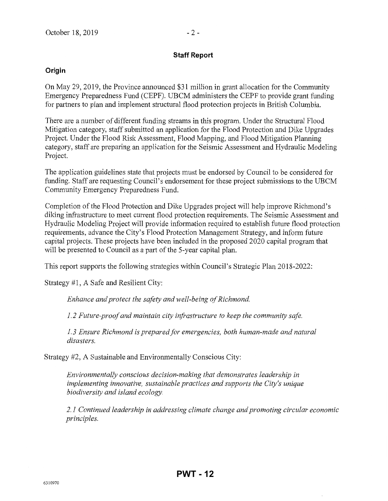#### **Staff Report**

#### **Origin**

On May 29, 2019, the Province announced \$31 million in grant allocation for the Community Emergency Preparedness Fund (CEPF). UBCM administers the CEPF to provide grant funding for partners to plan and implement structural flood protection projects in British Columbia.

There are a number of different funding streams in this program. Under the Structural Flood Mitigation category, staff submitted an application for the Flood Protection and Dike Upgrades Project. Under the Flood Risk Assessment, Flood Mapping, and Flood Mitigation Planning category, staff are preparing an application for the Seismic Assessment and Hydraulic Modeling Project.

The application guidelines state that projects must be endorsed by Council to be considered for funding. Staff are requesting Council's endorsement for these project submissions to the UBCM Community Emergency Preparedness Fund.

Completion of the Flood Protection and Dike Upgrades project will help improve Richmond's diking infrastructure to meet current flood protection requirements. The Seismic Assessment and Hydraulic Modeling Project will provide information required to establish future flood protection requirements, advance the City's Flood Protection Management Strategy, and inform future capital projects. These projects have been included in the proposed 2020 capital program that will be presented to Council as a part of the 5-year capital plan.

This report supports the following strategies within Council's Strategic Plan 2018-2022:

Strategy #1, A Safe and Resilient City:

*Enhance and protect the safety and well-being of Richmond.* 

*1. 2 Future-proof and maintain city infrastructure to keep the community safe.* 

*1. 3 Ensure Richmond is prepared for emergencies, both human-made and natural disasters.* 

Strategy #2, A Sustainable and Environmentally Conscious City:

*Environmentally conscious decision-making that demonstrates leadership in implementing innovative, sustainable practices and supports the City's unique biodiversity and island ecology.* 

*2.1 Continued leadership in addressing climate change and promoting circular economic principles.*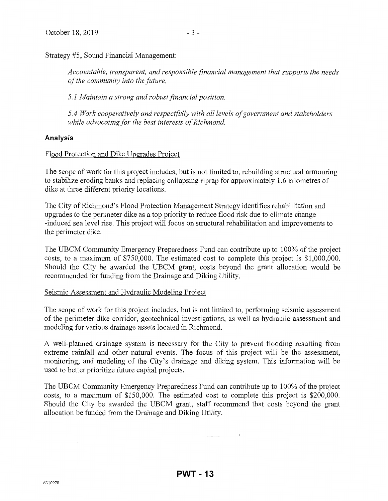Strategy #5, Sound Financial Management:

*Accountable, transparent, and responsible financial management that supports the needs of the community into the future.* 

*5.1 Maintain a strong and robust financial position.* 

*5. 4 Work cooperatively and respectfitlly with all levels of government and stakeholders while advocating for the best interests of Richmond.* 

#### **Analysis**

Flood Protection and Dike Upgrades Project

The scope of work for this project includes, but is not limited to, rebuilding structural armouring to stabilize eroding banks and replacing collapsing riprap for approximately 1.6 kilometres of dike at three different priority locations.

The City of Richmond's Flood Protection Management Strategy identifies rehabilitation and upgrades to the perimeter dike as a top priority to reduce flood risk due to climate change -induced sea level rise. This project will focus on structural rehabilitation and improvements to the perimeter dike.

The UBCM Community Emergency Preparedness Fund can contribute up to 100% of the project costs, to a maximum of \$750,000. The estimated cost to complete this project is \$1,000,000. Should the City be awarded the UBCM grant, costs beyond the grant allocation would be recommended for funding from the Drainage and Diking Utility.

#### Seismic Assessment and Hydraulic Modeling Project

The scope of work for this project includes, but is not limited to, performing seismic assessment of the perimeter dike corridor, geotechnical investigations, as well as hydraulic assessment and modeling for various drainage assets located in Richmond.

A well-planned drainage system is necessary for the City to prevent flooding resulting from extreme rainfall and other natural events. The focus of this project will be the assessment, monitoring, and modeling of the City's drainage and diking system. This information will be used to better prioritize future capital projects.

The UBCM Community Emergency Preparedness Fund can contribute up to 100% of the project costs, to a maximum of \$150,000. The estimated cost to complete this project is \$200,000. Should the City be awarded the UBCM grant, staff recommend that costs beyond the grant allocation be funded from the Drainage and Diking Utility.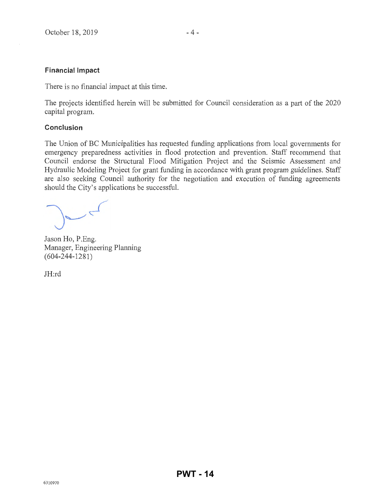#### **Financial Impact**

There is no financial impact at this time.

The projects identified herein will be submitted for Council consideration as a part of the 2020 capital program.

#### **Conclusion**

The Union of BC Municipalities has requested funding applications from local governments for emergency preparedness activities in flood protection and prevention. Staff recommend that Council endorse the Structural Flood Mitigation Project and the Seismic Assessment and Hydraulic Modeling Project for grant funding in accordance with grant program guidelines. Staff are also seeking Council authority for the negotiation and execution of funding agreements should the City's applications be successful.

 $\epsilon$ 

Jason Ho, P.Eng. Manager, Engineering Planning (604-244-1281)

JH:rd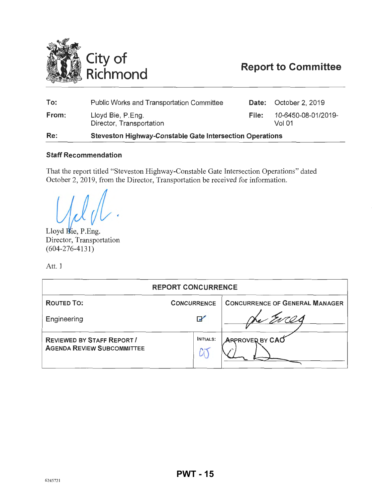<span id="page-14-0"></span>

# **Report to Committee**

| To:   | <b>Public Works and Transportation Committee</b>                |       | Date: October 2, 2019         |
|-------|-----------------------------------------------------------------|-------|-------------------------------|
| From: | Lloyd Bie, P.Eng.<br>Director, Transportation                   | File: | 10-6450-08-01/2019-<br>Vol 01 |
| Re:   | <b>Steveston Highway-Constable Gate Intersection Operations</b> |       |                               |

#### Staff Recommendation

That the report titled "Steveston Highway-Constable Gate Intersection Operations" dated October 2, 2019, from the Director, Transportation be received for information.

Lloyd Bie, P.Eng. Lloyd Bie, P.Eng.<br>Director, Transportation  $(604 - 276 - 4131)$ 

Att. 1

| <b>REPORT CONCURRENCE</b>                                              |                       |                                       |  |
|------------------------------------------------------------------------|-----------------------|---------------------------------------|--|
| <b>ROUTED TO:</b>                                                      | <b>CONCURRENCE</b>    | <b>CONCURRENCE OF GENERAL MANAGER</b> |  |
| Engineering                                                            | $\blacktriangleright$ |                                       |  |
| <b>REVIEWED BY STAFF REPORT /</b><br><b>AGENDA REVIEW SUBCOMMITTEE</b> | <b>INITIALS:</b>      | <b>ARPROVER BY CAO</b>                |  |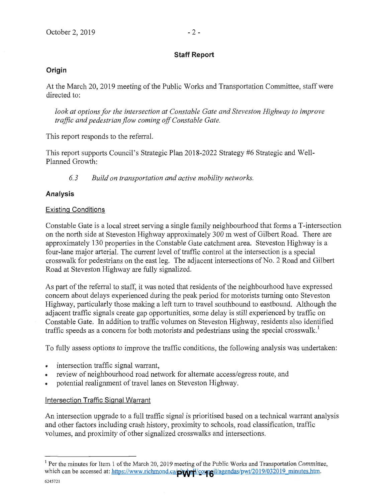### **Staff Report**

### **Origin**

At the March 20, 2019 meeting of the Public Works and Transportation Committee, staff were directed to:

*look at options for the intersection at Constable Gate and Steveston Highway to improve traffic and pedestrian flow coming off Constable Gate.* 

This report responds to the referral.

This report supports Council's Strategic Plan 2018-2022 Strategy #6 Strategic and Well-Planned Growth:

*6. 3 Build on transportation and active mobility networks.* 

### **Analysis**

### Existing Conditions

Constable Gate is a local street serving a single family neighbourhood that forms a T-intersection on the north side at Steveston Highway approximately 300m west of Gilbert Road. There are approximately 130 properties in the Constable Gate catchment area. Steveston Highway is a four-lane major arterial. The current level of traffic control at the intersection is a special crosswalk for pedestrians on the east leg. The adjacent intersections of No. 2 Road and Gilbert Road at Steveston Highway are fully signalized.

As part of the referral to staff, it was noted that residents of the neighbourhood have expressed concern about delays experienced during the peak period for motorists turning onto Steveston Highway, particularly those making a left tum to travel southbound to eastbound. Although the adjacent traffic signals create gap opportunities, some delay is still experienced by traffic on Constable Gate. In addition to traffic volumes on Steveston Highway, residents also identified traffic speeds as a concern for both motorists and pedestrians using the special crosswalk.<sup>1</sup>

To fully assess options to improve the traffic conditions, the following analysis was undertaken:

- intersection traffic signal warrant,
- review of neighbourhood road network for alternate access/egress route, and
- potential realignment of travel lanes on Steveston Highway.

### Intersection Traffic Signal Warrant

An intersection upgrade to a full traffic signal is prioritised based on a technical warrant analysis and other factors including crash history, proximity to schools, road classification, traffic volumes, and proximity of other signalized crosswalks and intersections.

 $1$  Per the minutes for Item 1 of the March 20, 2019 meeting of the Public Works and Transportation Committee, which can be accessed at: https://www.richmond.ca/**piy/p-1/**council/agendas/pwt/2019/032019\_minutes.htm.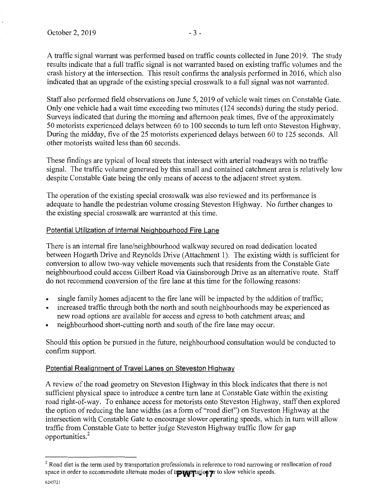A traffic signal warrant was performed based on traffic counts collected in June 2019. The study results indicate that a full traffic signal is not warranted based on existing traffic volumes and the crash history at the intersection. This result confirms the analysis performed in 2016, which also indicated that an upgrade of the existing special crosswalk to a full signal was not warranted.

Staff also performed field observations on June 5, 2019 of vehicle wait times on Constable Gate. Only one vehicle had a wait time exceeding two minutes (124 seconds) during the study period. Surveys indicated that during the morning and afternoon peak times, five of the approximately 50 motorists experienced delays between 60 to 100 seconds to tum left onto Steveston Highway. During the midday, five of the 25 motorists experienced delays between 60 to 125 seconds. All other motorists waited less than 60 seconds.

These findings are typical of local streets that intersect with arterial roadways with no traffic signal. The traffic volume generated by this small and contained catchment area is relatively low despite Constable Gate being the only means of access to the adjacent street system.

The operation of the existing special crosswalk was also reviewed and its performance is adequate to handle the pedestrian volume crossing Steveston Highway. No further changes to the existing special crosswalk are warranted at this time.

#### Potential Utilization of Internal Neighbourhood Fire Lane

There is an internal fire lane/neighbourhood walkway secured on road dedication located between Hogarth Drive and Reynolds Drive (Attachment 1). The existing width is sufficient for conversion to allow two-way vehicle movements such that residents from the Constable Gate neighbourhood could access Gilbert Road via Gainsborough Drive as an alternative route. Staff do not recommend conversion of the fire lane at this time for the following reasons:

- single family homes adjacent to the fire lane will be impacted by the addition of traffic;
- increased traffic through both the north and south neighbourhoods may be experienced as new road options are available for access and egress to both catchment areas; and
- neighbourhood short-cutting north and south of the fire lane may occur.

Should this option be pursued in the future, neighbourhood consultation would be conducted to confirm support.

#### Potential Realignment of Travel Lanes on Steveston Highway

A review of the road geometry on Steveston Highway in this block indicates that there is not sufficient physical space to introduce a centre tum lane at Constable Gate within the existing road right-of-way. To enhance access for motorists onto Steveston Highway, staff then explored the option of reducing the lane widths (as a form of"road diet") on Steveston Highway at the intersection with Constable Gate to encourage slower operating speeds, which in tum will allow traffic from Constable Gate to better judge Steveston Highway traffic flow for gap opportunities.<sup>2</sup>

<sup>&</sup>lt;sup>2</sup> Road diet is the term used by transportation professionals in reference to road narrowing or reallocation of road space in order to accommodate alternate modes of t**roughtants** on to slow vehicle speeds.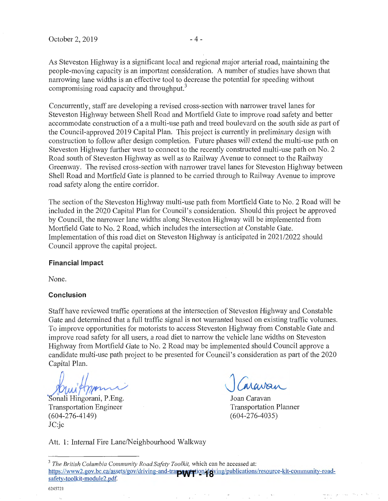As Steveston Highway is a significant local and regional major arterial road, maintaining the people-moving capacity is an important consideration. A number of studies have shown that narrowing lane widths is an effective tool to decrease the potential for speeding without compromising road capacity and throughput.<sup>3</sup>

Concurrently, staff are developing a revised cross-section with narrower travel lanes for Steveston Highway between Shell Road and Mortfield Gate to improve road safety and better accommodate construction of a a multi-use path and treed boulevard on the south side as part of the Council-approved 2019 Capital Plan. This project is cunently in preliminary design with construction to follow after design completion. Future phases will extend the multi-use path on Steveston Highway further west to connect to the recently constructed multi-use path on No.2 Road south of Steveston Highway as well as to Railway A venue to connect to the Railway Greenway. The revised cross-section with nanower travel lanes for Steveston Highway between Shell Road and Mortfield Gate is planned to be carried through to Railway Avenue to improve road safety along the entire corridor.

The section of the Steveston Highway multi-use path from Mortfield Gate to No. 2 Road will be included in the 2020 Capital Plan for Council's consideration. Should this project be approved by Council, the narrower lane widths along Steveston Highway will be implemented from Mortfield Gate to No.2 Road, which includes the intersection at Constable Gate. Implementation ofthis road diet on Steveston Highway is anticipated in 2021/2022 should Council approve the capital project.

#### **Financial Impact**

None.

#### **Conclusion**

Staff have reviewed traffic operations at the intersection of Steveston Highway and Constable Gate and determined that a full traffic signal is not warranted based on existing traffic volumes. To improve opportunities for motorists to access Steveston Highway from Constable Gate and improve road safety for all users, a road diet to narrow the vehicle lane widths on Steveston Highway from Mortfield Gate to No.2 Road may be implemented should Council approve a candidate multi-use path project to be presented for Council's consideration as part of the 2020 Capital Plan.

 $t$  $\frac{1}{\text{Hgorani}}$ , P.Eng.

Transportation Engineer (604-276-4149) JC:jc

ravai

Joan Caravan Transportation Planner (604-276-4035)

 $\ddotsc_{\rm i}$   $\ddotsc$ 

 $\Delta$ 

Att. 1: Intemal Fire Lane/Neighbourhood Walkway

<sup>3</sup>*The British Columbia Community Road Safety Toolkit,* which can be accessed at: https://www2.gov.bc.ca/assets/gov/driving-and-transportation/d**riving/publications/resource-kit-community-road-**<br>safety-toolkit-module2.ndf safety-toolkit-module2.pdf.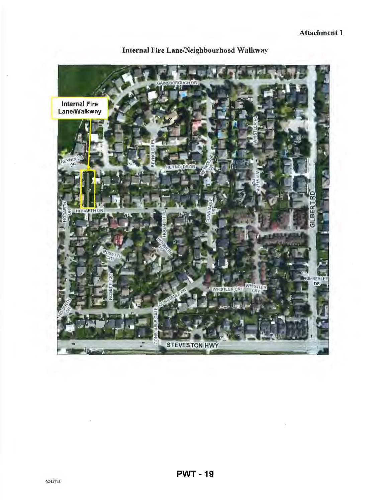

Internal Fire Lane/Neighbourhood Walkway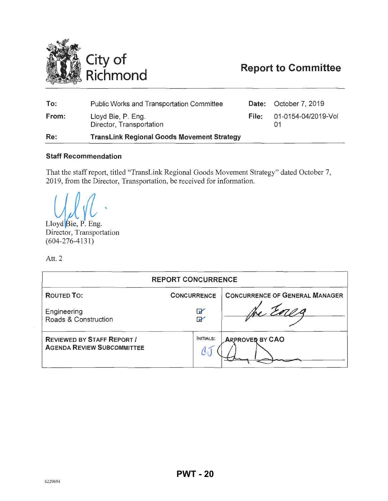<span id="page-19-0"></span>

# **Report to Committee**

| To:   | <b>Public Works and Transportation Committee</b>  |       | <b>Date:</b> October 7, 2019 |
|-------|---------------------------------------------------|-------|------------------------------|
| From: | Lloyd Bie, P. Eng.<br>Director, Transportation    | File: | 01-0154-04/2019-Vol          |
| Re:   | <b>TransLink Regional Goods Movement Strategy</b> |       |                              |

#### **Staff Recommendation**

That the staff report, titled "TransLink Regional Goods Movement Strategy" dated October 7, 2019, from the Director, Transportation, be received for information.

Lloyd Bie, P. Eng. Director, Transportation  $(604 - 276 - 4131)$ 

Att. 2

|                                                                        | <b>REPORT CONCURRENCE</b>   |                                       |
|------------------------------------------------------------------------|-----------------------------|---------------------------------------|
| <b>ROUTED TO:</b>                                                      | <b>CONCURRENCE</b>          | <b>CONCURRENCE OF GENERAL MANAGER</b> |
| Engineering<br>Roads & Construction                                    | $\mathbf{v}$<br>$\mathbf v$ |                                       |
| <b>REVIEWED BY STAFF REPORT /</b><br><b>AGENDA REVIEW SUBCOMMITTEE</b> | <b>INITIALS:</b>            | <b>ARPROVED BY CAO</b>                |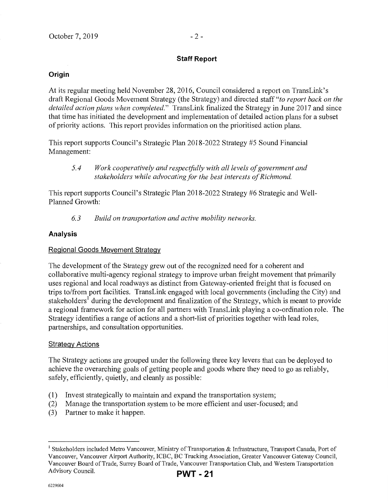#### **Staff Report**

#### **Origin**

At its regular meeting held November 28, 2016, Council considered a report on TransLink's draft Regional Goods Movement Strategy (the Strategy) and directed staff *"to report back on the detailed action plans when completed."* TransLink finalized the Strategy in June 2017 and since that time has initiated the development and implementation of detailed action plans for a subset of priority actions. This report provides information on the prioritised action plans.

This report supports Council's Strategic Plan 2018-2022 Strategy #5 Sound Financial Management:

This report supports Council's Strategic Plan 2018-2022 Strategy #6 Strategic and Well-Planned Growth:

*6. 3 Build on transportation and active mobility networks.* 

#### **Analysis**

#### Regional Goods Movement Strategy

The development of the Strategy grew out of the recognized need for a coherent and collaborative multi-agency regional strategy to improve urban freight movement that primarily uses regional and local roadways as distinct from Gateway-oriented freight that is focused on trips to/from port facilities. TransLink engaged with local governments (including the City) and stakeholders<sup>1</sup> during the development and finalization of the Strategy, which is meant to provide a regional framework for action for all partners with TransLink playing a co-ordination role. The Strategy identifies a range of actions and a short-list of priorities together with lead roles, partnerships, and consultation opportunities.

#### **Strategy Actions**

The Strategy actions are grouped under the following three key levers that can be deployed to achieve the overarching goals of getting people and goods where they need to go as reliably, safely, efficiently, quietly, and cleanly as possible:

- (1) Invest strategically to maintain and expand the transportation system;
- (2) Manage the transportation system to be more efficient and user-focused; and
- (3) Partner to make it happen.

*<sup>5.4</sup> Work cooperatively and respectfully with all levels of government and stakeholders while advocating for the best interests of Richmond.* 

<sup>&</sup>lt;sup>1</sup> Stakeholders included Metro Vancouver, Ministry of Transportation & Infrastructure, Transport Canada, Port of Vancouver, Vancouver Airport Authority, ICBC, BC Trucking Association, Greater Vancouver Gateway Council, Vancouver Board of Trade, Surrey Board of Trade, Vancouver Transportation Club, and Western Transportation Advisory Council.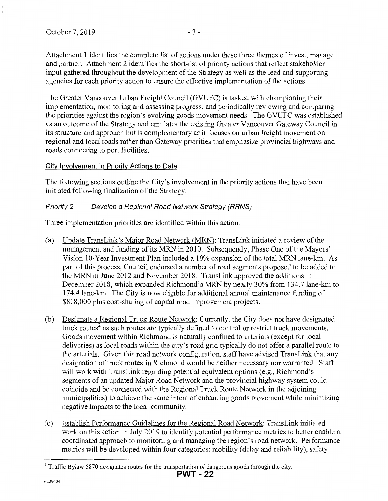Attachment 1 identifies the complete list of actions under these three themes of invest, manage and partner. Attachment 2 identifies the short-list of priority actions that reflect stakeholder input gathered throughout the development of the Strategy as well as the lead and supporting agencies for each priority action to ensure the effective implementation of the actions.

The Greater Vancouver Urban Freight Council (GVUFC) is tasked with championing their implementation, monitoring and assessing progress, and periodically reviewing and comparing the priorities against the region's evolving goods movement needs. The GVUFC was established as an outcome of the Strategy and emulates the existing Greater Vancouver Gateway Council in its structure and approach but is complementary as it focuses on urban freight movement on regional and local roads rather than Gateway priorities that emphasize provincial highways and roads connecting to port facilities.

### City Involvement in Priority Actions to Date

The following sections outline the City's involvement in the priority actions that have been initiated following finalization of the Strategy.

### Priority 2 Develop a Regional Road Network Strategy (RRNS)

Three implementation priorities are identified within this action.

- (a) Update TransLink's Major Road Network (MRN): TransLink initiated a review of the management and funding of its MRN in 2010. Subsequently, Phase One of the Mayors' Vision 10-Year Investment Plan included a 10% expansion of the total MRN lane-km. As part of this process, Council endorsed a number of road segments proposed to be added to the MRN in June 2012 and November 2018. TransLink approved the additions in December 2018, which expanded Richmond's MRN by nearly 30% from 134.7 lane-km to 174.4lane-km. The City is now eligible for additional annual maintenance funding of \$818,000 plus cost-sharing of capital road improvement projects.
- (b) Designate a Regional Truck Route Network: Currently, the City does not have designated truck routes<sup>2</sup> as such routes are typically defined to control or restrict truck movements. Goods movement within Richmond is naturally confined to arterials (except for local deliveries) as local roads within the city's road grid typically do not offer a parallel route to the arterials. Given this road network configuration, staff have advised TransLink that any designation of truck routes in Richmond would be neither necessary nor warranted. Staff will work with TransLink regarding potential equivalent options (e.g., Richmond's segments of an updated Major Road Network and the provincial highway system could coincide and be connected with the Regional Truck Route Network in the adjoining municipalities) to achieve the same intent of enhancing goods movement while minimizing negative impacts to the local community.
- (c) Establish Performance Guidelines for the Regional Road Network: TransLink initiated work on this action in July 2019 to identify potential performance metrics to better enable a coordinated approach to monitoring and managing the region's road network. Performance metrics will be developed within four categories: mobility (delay and reliability), safety

 $2$  Traffic Bylaw 5870 designates routes for the transportation of dangerous goods through the city.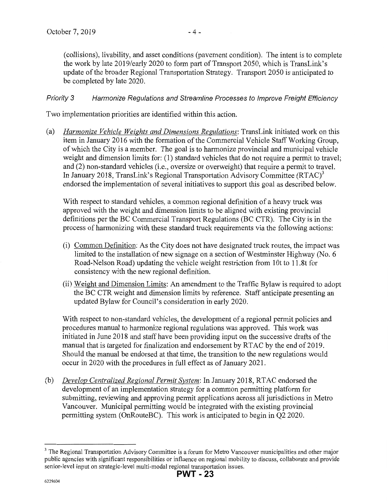(collisions), livability, and asset conditions (pavement condition). The intent is to complete the work by late 2019/early 2020 to form part of Transport 2050, which is TransLink's update of the broader Regional Transportation Strategy. Transport 2050 is anticipated to be completed by late 2020.

### Priority 3 Harmonize Regulations and Streamline Processes to Improve Freight Efficiency

Two implementation priorities are identified within this action.

(a) *Harmonize Vehicle Weights and Dimensions Regulations:* TransLink initiated work on this item in January 2016 with the formation of the Commercial Vehicle Staff Working Group, of which the City is a member. The goal is to harmonize provincial and municipal vehicle weight and dimension limits for: (1) standard vehicles that do not require a permit to travel; and (2) non-standard vehicles (i.e., oversize or overweight) that require a permit to travel. In January 2018, TransLink's Regional Transportation Advisory Committee  $(RTAC)^3$ endorsed the implementation of several initiatives to support this goal as described below.

With respect to standard vehicles, a common regional definition of a heavy truck was approved with the weight and dimension limits to be aligned with existing provincial definitions per the BC Commercial Transport Regulations (BC CTR). The City is in the process of harmonizing with these standard truck requirements via the following actions:

- (i) Common Definition: As the City does not have designated truck routes, the impact was limited to the installation of new signage on a section of Westminster Highway (No.6 Road-Nelson Road) updating the vehicle weight restriction from 10t to 11.8t for consistency with the new regional definition.
- (ii) Weight and Dimension Limits: An amendment to the Traffic Bylaw is required to adopt the BC CTR weight and dimension limits by reference. Staff anticipate presenting an updated Bylaw for Council's consideration in early 2020.

With respect to non-standard vehicles, the development of a regional permit policies and procedures manual to harmonize regional regulations was approved. This work was initiated in June 2018 and staff have been providing input on the successive drafts of the manual that is targeted for finalization and endorsement by RTAC by the end of 2019. Should the manual be endorsed at that time, the transition to the new regulations would occur in 2020 with the procedures in full effect as of January 2021.

(b) *Develop Centralized Regional Permit System:* In January 2018, RTAC endorsed the development of an implementation strategy for a common permitting platform for submitting, reviewing and approving permit applications across all jurisdictions in Metro Vancouver. Municipal permitting would be integrated with the existing provincial permitting system (OnRouteBC). This work is anticipated to begin in Q2 2020.

<sup>&</sup>lt;sup>3</sup> The Regional Transportation Advisory Committee is a forum for Metro Vancouver municipalities and other major public agencies with significant responsibilities or influence on regional mobility to discuss, collaborate and provide senior-level input on strategic-level multi-modal regional transportation issues.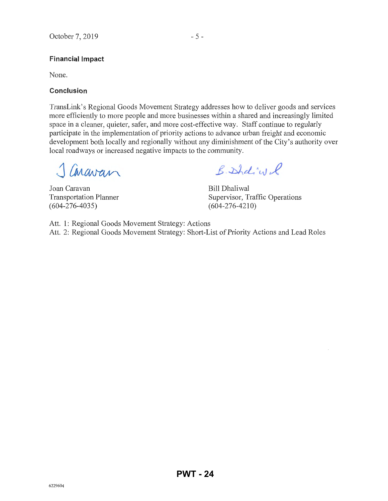#### **Financial Impact**

None.

#### **Conclusion**

TransLink's Regional Goods Movement Strategy addresses how to deliver goods and services more efficiently to more people and more businesses within a shared and increasingly limited space in a cleaner, quieter, safer, and more cost-effective way. Staff continue to regularly participate in the implementation of priority actions to advance urban freight and economic development both locally and regionally without any diminishment of the City's authority over local roadways or increased negative impacts to the community.

1 Caravan

Joan Caravan Transportation Planner (604-276-4035)

B. Shotivel

Bill Dhaliwal Supervisor, Traffic Operations (604-276-4210)

Att. 1: Regional Goods Movement Strategy: Actions Att. 2: Regional Goods Movement Strategy: Short-List of Priority Actions and Lead Roles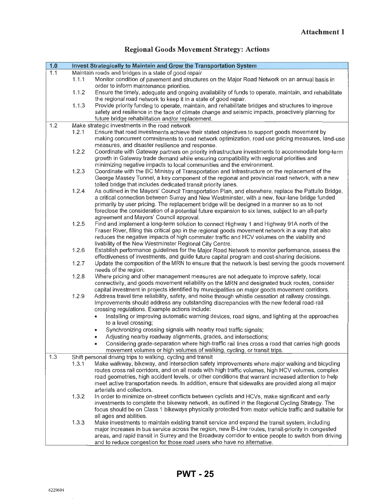| 1.0 |       | Invest Strategically to Maintain and Grow the Transportation System                                                                                                     |
|-----|-------|-------------------------------------------------------------------------------------------------------------------------------------------------------------------------|
| 1.1 |       | Maintain roads and bridges in a state of good repair                                                                                                                    |
|     | 1.1.1 | Monitor condition of pavement and structures on the Major Road Network on an annual basis in                                                                            |
|     |       | order to inform maintenance priorities.                                                                                                                                 |
|     | 1.1.2 | Ensure the timely, adequate and ongoing availability of funds to operate, maintain, and rehabilitate<br>the regional road network to keep it in a state of good repair. |
|     |       |                                                                                                                                                                         |
|     | 1.1.3 | Provide priority funding to operate, maintain, and rehabilitate bridges and structures to improve                                                                       |
|     |       | safety and resilience in the face of climate change and seismic impacts, proactively planning for                                                                       |
|     |       | future bridge rehabilitation and/or replacement.                                                                                                                        |
| 1.2 |       | Make strategic investments in the road network                                                                                                                          |
|     | 1.2.1 | Ensure that road investments achieve their stated objectives to support goods movement by                                                                               |
|     |       | making concurrent commitments to road network optimization, road use pricing measures, land-use                                                                         |
|     |       | measures, and disaster resilience and response.                                                                                                                         |
|     | 1.2.2 | Coordinate with Gateway partners on priority infrastructure investments to accommodate long-term                                                                        |
|     |       | growth in Gateway trade demand while ensuring compatibility with regional priorities and                                                                                |
|     |       | minimizing negative impacts to local communities and the environment.                                                                                                   |
|     | 1.2.3 | Coordinate with the BC Ministry of Transportation and Infrastructure on the replacement of the                                                                          |
|     |       | George Massey Tunnel, a key component of the regional and provincial road network, with a new                                                                           |
|     |       | tolled bridge that includes dedicated transit priority lanes.                                                                                                           |
|     | 1.2.4 | As outlined in the Mayors' Council Transportation Plan, and elsewhere, replace the Pattullo Bridge,                                                                     |
|     |       | a critical connection between Surrey and New Westminster, with a new, four-lane bridge funded                                                                           |
|     |       | primarily by user pricing. The replacement bridge will be designed in a manner so as to not                                                                             |
|     |       | foreclose the consideration of a potential future expansion to six lanes, subject to an all-party                                                                       |
|     |       | agreement and Mayors' Council approval.                                                                                                                                 |
|     | 1.2.5 | Find and implement a long-term solution to connect Highway 1 and Highway 91A north of the                                                                               |
|     |       | Fraser River, filling this critical gap in the regional goods movement network in a way that also                                                                       |
|     |       | reduces the negative impacts of high commuter traffic and HCV volumes on the viability and                                                                              |
|     |       | livability of the New Westminster Regional City Centre.                                                                                                                 |
|     | 1.2.6 | Establish performance guidelines for the Major Road Network to monitor performance, assess the                                                                          |
|     |       | effectiveness of investments, and guide future capital program and cost-sharing decisions.                                                                              |
|     | 1.2.7 | Update the composition of the MRN to ensure that the network is best serving the goods movement                                                                         |
|     |       | needs of the region.                                                                                                                                                    |
|     | 1.2.8 | Where pricing and other management measures are not adequate to improve safety, local                                                                                   |
|     |       | connectivity, and goods movement reliability on the MRN and designated truck routes, consider                                                                           |
|     |       | capital investment in projects identified by municipalities on major goods movement corridors.                                                                          |
|     | 1.2.9 | Address travel time reliability, safety, and noise through whistle cessation at railway crossings.                                                                      |
|     |       | Improvements should address any outstanding discrepancies with the new federal road-rail                                                                                |
|     |       | crossing regulations. Example actions include:                                                                                                                          |
|     |       | Installing or improving automatic warning devices, road signs, and lighting at the approaches                                                                           |
|     |       | to a level crossing;                                                                                                                                                    |
|     |       | Synchronizing crossing signals with nearby road traffic signals;                                                                                                        |
|     |       | Adjusting nearby roadway alignments, grades, and intersections;                                                                                                         |
|     |       | Considering grade-separation where high-traffic rail lines cross a road that carries high goods                                                                         |
|     |       | movement volumes or high volumes of walking, cycling, or transit trips.                                                                                                 |
| 1.3 |       | Shift personal driving trips to walking, cycling and transit                                                                                                            |
|     | 1.3.1 | Make walkway, bikeway, and intersection safety improvements where major walking and bicycling                                                                           |
|     |       | routes cross rail corridors, and on all roads with high traffic volumes, high HCV volumes, complex                                                                      |
|     |       | road geometries, high accident levels, or other conditions that warrant increased attention to help                                                                     |
|     |       | meet active transportation needs. In addition, ensure that sidewalks are provided along all major                                                                       |
|     |       | arterials and collectors.                                                                                                                                               |
|     | 1.3.2 | In order to minimize on-street conflicts between cyclists and HCVs, make significant and early                                                                          |
|     |       | investments to complete the bikeway network, as outlined in the Regional Cycling Strategy. The                                                                          |
|     |       | focus should be on Class 1 bikeways physically protected from motor vehicle traffic and suitable for                                                                    |
|     |       | all ages and abilities.                                                                                                                                                 |
|     | 1.3.3 | Make investments to maintain existing transit service and expand the transit system, including                                                                          |
|     |       | major increases in bus service across the region, new B-Line routes, transit-priority in congested                                                                      |
|     |       | areas, and rapid transit in Surrey and the Broadway corridor to entice people to switch from driving                                                                    |
|     |       | and to reduce congestion for those road users who have no alternative.                                                                                                  |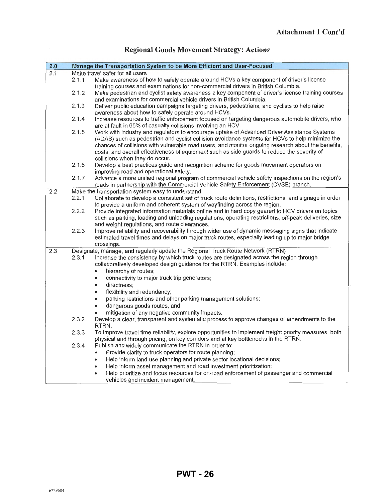| 2.0 |       | Manage the Transportation System to be More Efficient and User-Focused                                                                                                                                                                                                                                                                                                                              |
|-----|-------|-----------------------------------------------------------------------------------------------------------------------------------------------------------------------------------------------------------------------------------------------------------------------------------------------------------------------------------------------------------------------------------------------------|
| 2.1 |       | Make travel safer for all usors                                                                                                                                                                                                                                                                                                                                                                     |
|     | 2.1.1 | Make awareness of how to safely operate around HCVs a key component of driver's license<br>training courses and examinations for non-commercial drivers in British Columbia.                                                                                                                                                                                                                        |
|     | 2.1.2 | Make pedestrian and cyclist safety awareness a key component of driver's license training courses<br>and examinations for commercial vehicle drivers in British Columbia.                                                                                                                                                                                                                           |
|     | 2.1.3 | Deliver public education campaigns targeting drivers, pedestrians, and cyclists to help raise<br>awareness about how to safely operate around HCVs.                                                                                                                                                                                                                                                 |
|     | 2.1.4 | Increase resources to traffic enforcement focused on targeting dangerous automobile drivers, who<br>are at fault in 65% of casualty collisions involving an HCV.                                                                                                                                                                                                                                    |
|     | 2.1.5 | Work with industry and regulators to encourage uptake of Advanced Driver Assistance Systems<br>(ADAS) such as pedestrian and cyclist collision avoidance systems for HCVs to help minimize the<br>chances of collisions with vulnerable road users, and monitor ongoing research about the benefits,<br>costs, and overall effectiveness of equipment such as side guards to reduce the severity of |
|     |       | collisions when they do occur.                                                                                                                                                                                                                                                                                                                                                                      |
|     | 2.1.6 | Develop a best practices guide and recognition scheme for goods movement operators on<br>improving road and operational safety.                                                                                                                                                                                                                                                                     |
|     | 2.1.7 | Advance a more unified regional program of commercial vehicle safety inspections on the region's<br>roads in partnership with the Commercial Vehicle Safety Enforcement (CVSE) branch.                                                                                                                                                                                                              |
| 2.2 |       | Make the transportation system easy to understand                                                                                                                                                                                                                                                                                                                                                   |
|     | 2.2.1 | Collaborate to develop a consistent set of truck route definitions, restrictions, and signage in order<br>to provide a uniform and coherent system of wayfinding across the region.                                                                                                                                                                                                                 |
|     | 2.2.2 | Provide integrated information materials online and in hard copy geared to HCV drivers on topics<br>such as parking, loading and unloading regulations, operating restrictions, off-peak deliveries, size<br>and weight regulations, and route clearances.                                                                                                                                          |
|     | 2.2.3 | Improve reliability and recoverability through wider use of dynamic messaging signs that indicate<br>estimated travel times and delays on major truck routes, especially leading up to major bridge<br>crossings.                                                                                                                                                                                   |
| 2.3 |       | Designate, manage, and regularly update the Regional Truck Route Network (RTRN)                                                                                                                                                                                                                                                                                                                     |
|     | 2.3.1 | Increase the consistency by which truck routes are designated across the region through<br>collaboratively developed design guidance for the RTRN. Examples include:                                                                                                                                                                                                                                |
|     |       | hierarchy of routes;                                                                                                                                                                                                                                                                                                                                                                                |
|     |       | connectivity to major truck trip generators;                                                                                                                                                                                                                                                                                                                                                        |
|     |       | directness;<br>٠                                                                                                                                                                                                                                                                                                                                                                                    |
|     |       | flexibility and redundancy;<br>$\bullet$                                                                                                                                                                                                                                                                                                                                                            |
|     |       | parking restrictions and other parking management solutions;                                                                                                                                                                                                                                                                                                                                        |
|     |       | dangerous goods routes, and                                                                                                                                                                                                                                                                                                                                                                         |
|     |       | mitigation of any negative community impacts.                                                                                                                                                                                                                                                                                                                                                       |
|     | 2.3.2 | Develop a clear, transparent and systematic process to approve changes or amendments to the<br>RTRN.                                                                                                                                                                                                                                                                                                |
|     | 2.3.3 | To improve travel time reliability, explore opportunities to implement freight priority measures, both<br>physical and through pricing, on key corridors and at key bottlenecks in the RTRN.                                                                                                                                                                                                        |
|     | 2.3.4 | Publish and widely communicate the RTRN in order to:                                                                                                                                                                                                                                                                                                                                                |
|     |       | Provide clarity to truck operators for route planning;                                                                                                                                                                                                                                                                                                                                              |
|     |       | Help inform land use planning and private sector locational decisions;                                                                                                                                                                                                                                                                                                                              |
|     |       | Help inform asset management and road investment prioritization;                                                                                                                                                                                                                                                                                                                                    |
|     |       | Help prioritize and focus resources for on-road enforcement of passenger and commercial<br>٠<br>vehicles and incident management.                                                                                                                                                                                                                                                                   |

 $\bar{z}$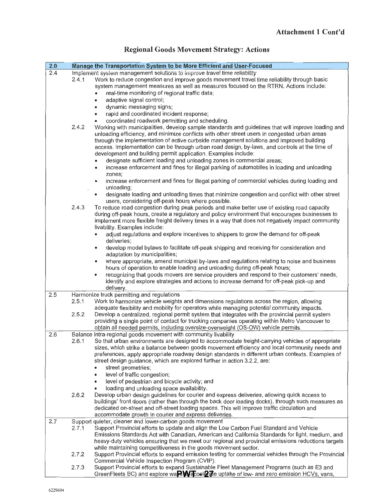| 2.0 |       | Manage the Transportation System to be More Efficient and User-Focused                                                                                                                                                                                                                                                                                                                                                                                                    |
|-----|-------|---------------------------------------------------------------------------------------------------------------------------------------------------------------------------------------------------------------------------------------------------------------------------------------------------------------------------------------------------------------------------------------------------------------------------------------------------------------------------|
| 2.4 | 2.4.1 | Implement system management solutions to improve travel time reliability<br>Work to reduce congestion and improve goods movement travel time reliability through basic<br>system management measures as well as measures focused on the RTRN. Actions include:<br>real-time monitoring of regional traffic data;<br>adaptive signal control;                                                                                                                              |
|     | 2.4.2 | dynamic messaging signs;<br>٠<br>rapid and coordinated incident response;<br>$\bullet$<br>coordinated roadwork permitting and scheduling.<br>Working with municipalities, develop sample standards and guidelines that will improve loading and<br>unloading efficiency, and minimize conflicts with other street users in congested urban areas                                                                                                                          |
|     |       | through the implementation of active curbside management solutions and improved building<br>access. Implementation can be through urban road design, by-laws, and controls at the time of<br>development and building permit application. Examples include:<br>designate sufficient loading and unloading zones in commercial areas;                                                                                                                                      |
|     |       | increase enforcement and fines for illegal parking of automobiles in loading and unloading<br>$\bullet$<br>zones;<br>increase enforcement and fines for illegal parking of commercial vehicles during loading and<br>٠<br>unloading;                                                                                                                                                                                                                                      |
|     | 2.4.3 | designate loading and unloading times that minimize congestion and conflict with other street<br>٠<br>users, considering off-peak hours where possible.<br>To reduce road congestion during peak periods and make better use of existing road capacity                                                                                                                                                                                                                    |
|     |       | during off-peak hours, create a regulatory and policy environment that encourages businesses to<br>implement more flexible freight delivery times in a way that does not negatively impact community<br>livability. Examples include:<br>adjust regulations and explore incentives to shippers to grow the demand for off-peak                                                                                                                                            |
|     |       | deliveries;<br>develop model bylaws to facilitate off-peak shipping and receiving for consideration and<br>$\bullet$<br>adaptation by municipalities;                                                                                                                                                                                                                                                                                                                     |
|     |       | where appropriate, amend municipal by-laws and regulations relating to noise and business<br>۰<br>hours of operation to enable loading and unloading during off-peak hours;<br>recognizing that goods movers are service providers and respond to their customers' needs,<br>٠                                                                                                                                                                                            |
|     |       | identify and explore strategies and actions to increase demand for off-peak pick-up and<br>delivery.                                                                                                                                                                                                                                                                                                                                                                      |
| 2.5 | 2.5.1 | Harmonize truck permitting and regulations<br>Work to harmonize vehicle weights and dimensions regulations across the region, allowing<br>adequate flexibility and mobility for operators while managing potential community impacts.                                                                                                                                                                                                                                     |
|     | 2.5.2 | Develop a centralized, regional permit system that integrates with the provincial permit system<br>providing a single point of contact for trucking companies operating within Metro Vancouver to<br>obtain all needed permits, including oversize-overweight (OS-OW) vehicle permits.                                                                                                                                                                                    |
| 2.6 | 2.6.1 | Balance intra-regional goods movement with community livability<br>So that urban environments are designed to accommodate freight-carrying vehicles of appropriate<br>sizes, which strike a balance between goods movement efficiency and local community needs and<br>preferences, apply appropriate roadway design standards in different urban contexts. Examples of<br>street design guidance, which are explored further in action 3.2.2, are:<br>street geometries; |
|     |       | level of traffic congestion;<br>٠<br>level of pedestrian and bicycle activity; and                                                                                                                                                                                                                                                                                                                                                                                        |
|     | 2.6.2 | loading and unloading space availability.<br>Develop urban design guidelines for courier and express deliveries, allowing quick access to<br>buildings' front doors (rather than through the back door loading docks), through such measures as<br>dedicated on-street and off-street loading spaces. This will improve traffic circulation and<br>accommodate growth in courier and express deliveries.                                                                  |
| 2.7 | 2.7.1 | Support quieter, cleaner and lower-carbon goods movement<br>Support Provincial efforts to update and align the Low Carbon Fuel Standard and Vehicle<br>Emissions Standards Act with Canadian, American and California Standards for light, medium, and<br>heavy-duty vehicles ensuring that we meet our regional and provincial emissions reductions targets<br>while maintaining competitiveness in the goods movement sector.                                           |
|     | 2.7.2 | Support Provincial efforts to expand emission testing for commercial vehicles through the Provincial<br>Commercial Vehicle Inspection Program (CVIP).                                                                                                                                                                                                                                                                                                                     |
|     | 2.7.3 | Support Provincial efforts to expand Sustainable Fleet Management Programs (such as E3 and<br>GreenFleets BC) and explore wa <b>P WE</b> cel <b>27</b> e uptake of low- and zero emission HCVs, vans,                                                                                                                                                                                                                                                                     |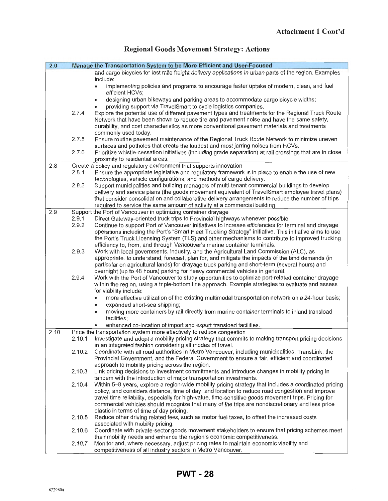| 2.0  |        | Manage the Transportation System to be More Efficient and User-Focused                                                                                                                                                                                                                       |
|------|--------|----------------------------------------------------------------------------------------------------------------------------------------------------------------------------------------------------------------------------------------------------------------------------------------------|
|      |        | and cargo bicycles for last mile freight delivery applications in urban parts of the region. Examples                                                                                                                                                                                        |
|      |        | include:                                                                                                                                                                                                                                                                                     |
|      |        | implementing policies and programs to encourage faster uptake of modern, clean, and fuel                                                                                                                                                                                                     |
|      |        | efficient HCVs;<br>designing urban bikeways and parking areas to accommodate cargo bicycle widths;<br>۰                                                                                                                                                                                      |
|      |        | providing support via TravelSmart to cycle logistics companies.                                                                                                                                                                                                                              |
|      | 2.7.4  | Explore the potential use of different pavement types and treatments for the Regional Truck Route<br>Network that have been shown to reduce tire and pavement noise and have the same safety,<br>durability, and cost characteristics as more conventional pavement materials and treatments |
|      | 2.7.5  | commonly used today.<br>Ensure routine pavement maintenance of the Regional Truck Route Network to minimize uneven                                                                                                                                                                           |
|      | 2.7.6  | surfaces and potholes that create the loudest and most jarring noises from HCVs.<br>Prioritize whistle-cessation initiatives (including grade separation) at rail crossings that are in close                                                                                                |
|      |        | proximity to residential areas.                                                                                                                                                                                                                                                              |
| 2.8  |        | Create a policy and regulatory environment that supports innovation                                                                                                                                                                                                                          |
|      | 2.8.1  | Ensure the appropriate legislative and regulatory framework is in place to enable the use of new                                                                                                                                                                                             |
|      |        | technologies, vehicle configurations, and methods of cargo delivery.                                                                                                                                                                                                                         |
|      | 2.8.2  | Support municipalities and building managers of multi-tenant commercial buildings to develop<br>delivery and service plans (the goods movement equivalent of TravelSmart employee travel plans)                                                                                              |
|      |        | that consider consolidation and collaborative delivery arrangements to reduce the number of trips                                                                                                                                                                                            |
|      |        | required to service the same amount of activity at a commercial building.                                                                                                                                                                                                                    |
| 2.9  |        | Support the Port of Vancouver in optimizing container drayage                                                                                                                                                                                                                                |
|      | 2.9.1  | Direct Gateway-oriented truck trips to Provincial highways whenever possible.                                                                                                                                                                                                                |
|      | 2.9.2  | Continue to support Port of Vancouver initiatives to increase efficiencies for terminal and drayage                                                                                                                                                                                          |
|      |        | operations including the Port's "Smart Fleet Trucking Strategy" initiative. This initiative aims to use                                                                                                                                                                                      |
|      |        | the Port's Truck Licensing System (TLS) and other mechanisms to contribute to improved trucking<br>efficiency to, from, and through Vancouver's marine container terminals.                                                                                                                  |
|      | 2.9.3  | Work with local governments, industry, and the Agricultural Land Commission (ALC), as                                                                                                                                                                                                        |
|      |        | appropriate, to understand, forecast, plan for, and mitigate the impacts of the land demands (in                                                                                                                                                                                             |
|      |        | particular on agricultural lands) for drayage truck parking and short-term (several hours) and                                                                                                                                                                                               |
|      |        | overnight (up to 48 hours) parking for heavy commercial vehicles in general.                                                                                                                                                                                                                 |
|      | 2.9.4  | Work with the Port of Vancouver to study opportunities to optimize port-related container drayage                                                                                                                                                                                            |
|      |        | within the region, using a triple-bottom line approach. Example strategies to evaluate and assess<br>for viability include:                                                                                                                                                                  |
|      |        | more effective utilization of the existing multimodal transportation network on a 24-hour basis;                                                                                                                                                                                             |
|      |        | expanded short-sea shipping;<br>٠                                                                                                                                                                                                                                                            |
|      |        | moving more containers by rail directly from marine container terminals to inland transload<br>٠<br>facilities;                                                                                                                                                                              |
|      |        | enhanced co-location of import and export transload facilities.                                                                                                                                                                                                                              |
| 2.10 |        | Price the transportation system more effectively to reduce congestion                                                                                                                                                                                                                        |
|      | 2.10.1 | Investigate and adopt a mobility pricing strategy that commits to making transport pricing decisions                                                                                                                                                                                         |
|      |        | in an integrated fashion considering all modes of travel.                                                                                                                                                                                                                                    |
|      | 2.10.2 | Coordinate with all road authorities in Metro Vancouver, including municipalities, TransLink, the                                                                                                                                                                                            |
|      |        | Provincial Government, and the Federal Government to ensure a fair, efficient and coordinated<br>approach to mobility pricing across the region.                                                                                                                                             |
|      | 2.10.3 | Link pricing decisions to investment commitments and introduce changes in mobility pricing in                                                                                                                                                                                                |
|      |        | tandem with the introduction of major transportation investments.                                                                                                                                                                                                                            |
|      | 2.10.4 | Within 5-8 years, explore a region-wide mobility pricing strategy that includes a coordinated pricing                                                                                                                                                                                        |
|      |        | policy, and considers distance, time of day, and location to reduce road congestion and improve                                                                                                                                                                                              |
|      |        | travel time reliability, especially for high-value, time-sensitive goods movement trips. Pricing for                                                                                                                                                                                         |
|      |        | commercial vehicles should recognize that many of the trips are nondiscretionary and less price                                                                                                                                                                                              |
|      | 2.10.5 | elastic in terms of time of day pricing.<br>Reduce other driving related fees, such as motor fuel taxes, to offset the increased costs                                                                                                                                                       |
|      |        | associated with mobility pricing.                                                                                                                                                                                                                                                            |
|      | 2.10.6 | Coordinate with private-sector goods movement stakeholders to ensure that pricing schemes meet                                                                                                                                                                                               |
|      |        | their mobility needs and enhance the region's economic competitiveness.                                                                                                                                                                                                                      |
|      | 2.10.7 | Monitor and, where necessary, adjust pricing rates to maintain economic viability and                                                                                                                                                                                                        |
|      |        | competitiveness of all industry sectors in Metro Vancouver.                                                                                                                                                                                                                                  |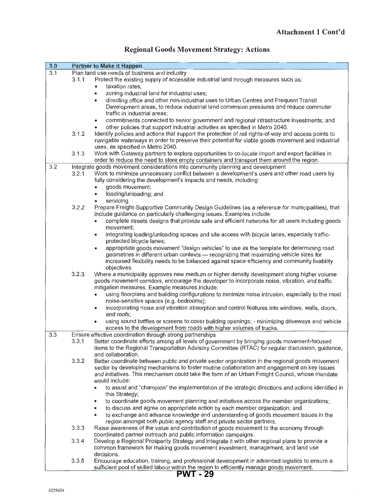|  |  | <b>Regional Goods Movement Strategy: Actions</b> |  |  |
|--|--|--------------------------------------------------|--|--|
|--|--|--------------------------------------------------|--|--|

| 3.0 |       | <b>Partner to Make it Happen</b>                                                                                 |
|-----|-------|------------------------------------------------------------------------------------------------------------------|
| 3.1 |       | Plan land use needs of business and inductry                                                                     |
|     | 3.1.1 | Protect the existing supply of accessible industrial land through measures such as:                              |
|     |       | taxation rates;<br>٠                                                                                             |
|     |       | zoning industrial land for industrial uses;<br>$\bullet$                                                         |
|     |       | directing office and other non-industrial uses to Urban Centres and Frequent Transit<br>٠                        |
|     |       | Development areas, to reduce industrial land conversion pressures and reduce commuter                            |
|     |       | traffic in industrial areas;                                                                                     |
|     |       | commitments connected to senior government and regional infrastructure investments; and<br>٠                     |
|     |       | other policies that support industrial activities as specified in Metro 2040.                                    |
|     | 3.1.2 | Identify policies and actions that support the protection of rail rights-of-way and access points to             |
|     |       | navigable waterways in order to preserve their potential for viable goods movement and industrial                |
|     |       | uses, as specified in Metro 2040.                                                                                |
|     | 3.1.3 | Work with Gateway partners to explore opportunities to co-locate import and export facilities in                 |
|     |       | order to reduce the need to store empty containers and transport them around the region.                         |
| 3.2 |       | Integrate goods movement considerations into community planning and development                                  |
|     | 3.2.1 | Work to minimize unnecessary conflict between a development's users and other road users by                      |
|     |       | fully considering the development's impacts and needs, including:                                                |
|     |       | goods movement;                                                                                                  |
|     |       | loading/unloading; and                                                                                           |
|     |       | servicing.                                                                                                       |
|     | 3.2.2 | Prepare Freight-Supportive Community Design Guidelines (as a reference for municipalities), that                 |
|     |       | include guidance on particularly challenging issues. Examples include:                                           |
|     |       | complete streets designs that provide safe and efficient networks for all users including goods<br>٠             |
|     |       | movement;                                                                                                        |
|     |       | integrating loading/unloading spaces and site access with bicycle lanes, especially traffic-<br>$\bullet$        |
|     |       | protected bicycle lanes;                                                                                         |
|     |       | appropriate goods movement "design vehicles" to use as the template for determining road<br>$\bullet$            |
|     |       | geometries in different urban contexts - recognizing that maximizing vehicle sizes for                           |
|     |       | increased flexibility needs to be balanced against space efficiency and community livability                     |
|     |       | objectives.                                                                                                      |
|     | 3.2.3 | Where a municipality approves new medium or higher density development along higher volume                       |
|     |       | goods movement corridors, encourage the developer to incorporate noise, vibration, and traffic                   |
|     |       | mitigation measures. Example measures include:                                                                   |
|     |       | using floorplans and building configurations to minimize noise intrusion, especially to the most                 |
|     |       | noise-sensitive spaces (e.g. bedrooms);                                                                          |
|     |       | incorporating noise and vibration absorption and control features into windows, walls, doors,<br>٠<br>and roofs; |
|     |       | using sound baffles or screens to cover building openings; - minimizing driveways and vehicle                    |
|     |       | $\bullet$<br>access to the development from roads with higher volumes of trucks.                                 |
| 3.3 |       | Ensure effective coordination through strong partnerships                                                        |
|     | 3.3.1 | Better coordinate efforts among all levels of government by bringing goods movement-focused                      |
|     |       | items to the Regional Transportation Advisory Committee (RTAC) for regular discussion, guidance,                 |
|     |       | and collaboration.                                                                                               |
|     | 3.3.2 | Better coordinate between public and private sector organization in the regional goods movement                  |
|     |       | sector by developing mechanisms to foster routine collaboration and engagement on key issues                     |
|     |       | and initiatives. This mechanism could take the form of an Urban Freight Council, whose mandate                   |
|     |       | would include:                                                                                                   |
|     |       | to assist and "champion" the implementation of the strategic directions and actions identified in                |
|     |       | this Strategy;                                                                                                   |
|     |       | to coordinate goods movement planning and initiatives across the member organizations;<br>$\bullet$              |
|     |       | to discuss and agree on appropriate action by each member organization; and<br>$\bullet$                         |
|     |       | to exchange and advance knowledge and understanding of goods movement issues in the<br>$\bullet$                 |
|     |       | region amongst both public agency staff and private sector partners.                                             |
|     | 3.3.3 | Raise awareness of the value and contribution of goods movement to the economy through                           |
|     |       | coordinated partner outreach and public information campaigns.                                                   |
|     | 3.3.4 | Develop a Regional Prosperity Strategy and integrate it with other regional plans to provide a                   |
|     |       | common framework for making goods movement investment, management, and land use                                  |
|     |       | decisions.                                                                                                       |
|     | 3.3.5 | Encourage education, training, and professional development in advanced logistics to ensure a                    |
|     |       | sufficient pool of skilled labour within the region to efficiently manage goods movement.                        |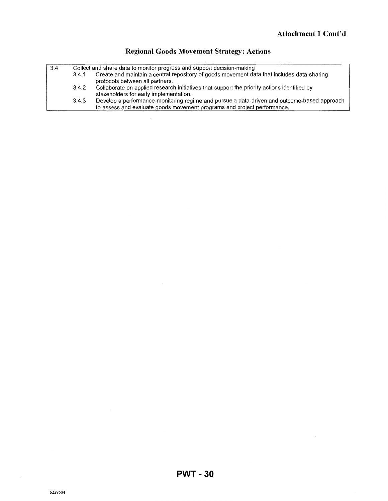$\sim$ 

| 3.4 | Collect and share data to monitor progress and support decision-making |                                                                                                                                                                        |  |  |
|-----|------------------------------------------------------------------------|------------------------------------------------------------------------------------------------------------------------------------------------------------------------|--|--|
|     | 3.4.1                                                                  | Create and maintain a central repository of goods movement data that includes data-sharing<br>protocols between all partners.                                          |  |  |
|     | 3.4.2                                                                  | Collaborate on applied research initiatives that support the priority actions identified by<br>stakeholders for early implementation.                                  |  |  |
|     | 3.4.3                                                                  | Develop a performance-monitoring regime and pursue a data-driven and outcome-based approach<br>to assess and evaluate goods movement programs and project performance. |  |  |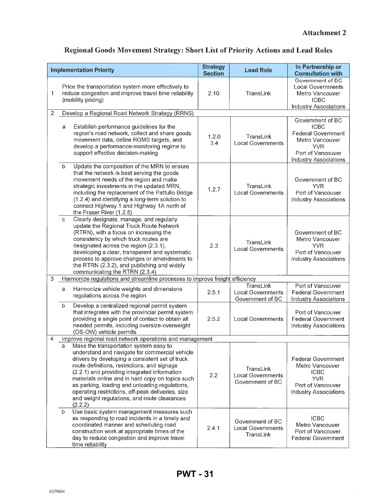$\hat{\boldsymbol{\beta}}$ 

## · **Regional Goods Movement Strategy: Short List of Priority Actions and Lead Roles**

| <b>Implementation Priority</b> |             |                                                                                                                                                                                                                                                                                                                                                                                                                                                                   | <b>Strategy</b><br><b>Section</b> | <b>Lead Role</b>                                          | In Partnership or<br><b>Consultation with</b>                                                                                                      |  |  |  |
|--------------------------------|-------------|-------------------------------------------------------------------------------------------------------------------------------------------------------------------------------------------------------------------------------------------------------------------------------------------------------------------------------------------------------------------------------------------------------------------------------------------------------------------|-----------------------------------|-----------------------------------------------------------|----------------------------------------------------------------------------------------------------------------------------------------------------|--|--|--|
| 1                              |             | Price the transportation system more effectively to<br>reduce congestion and improve travel time reliability<br>(mobility pricing)                                                                                                                                                                                                                                                                                                                                |                                   | TransLink                                                 | Government of BC<br><b>Local Governments</b><br>Metro Vancouver<br><b>ICBC</b><br><b>Industry Associations</b>                                     |  |  |  |
| $\overline{2}$                 |             | Develop a Regional Road Network Strategy (RRNS)                                                                                                                                                                                                                                                                                                                                                                                                                   |                                   |                                                           |                                                                                                                                                    |  |  |  |
|                                | a           | Establish performance guidelines for the<br>region's road network, collect and share goods<br>movement data, define RGMS targets, and<br>develop a performance-monitoring regime to<br>support effective decision-making                                                                                                                                                                                                                                          | 1.2.6<br>3.4                      | TransLink<br><b>Local Governments</b>                     | Government of BC<br><b>ICBC</b><br><b>Federal Government</b><br>Metro Vancouver<br><b>YVR</b><br>Port of Vancouver<br><b>Industry Associations</b> |  |  |  |
|                                | b           | Update the composition of the MRN to ensure<br>that the network is best serving the goods<br>movement needs of the region and make<br>strategic investments in the updated MRN,<br>including the replacement of the Pattullo Bridge<br>(1.2.4) and identifying a long-term solution to<br>connect Highway 1 and Highway 1A north of<br>the Fraser River (1.2.5)                                                                                                   | 1.2.7                             | TransLink<br><b>Local Governments</b>                     | Government of BC<br><b>YVR</b><br>Port of Vancouver<br><b>Industry Associations</b>                                                                |  |  |  |
|                                | c           | Clearly designate, manage, and regularly<br>update the Regional Truck Route Network<br>(RTRN), with a focus on increasing the<br>consistency by which truck routes are<br>designated across the region (2.3.1),<br>developing a clear, transparent and systematic<br>process to approve changes or amendments to<br>the RTRN (2.3.2), and publishing and widely<br>communicating the RTRN (2.3.4)                                                                 | 2.3                               | TransLink<br><b>Local Governments</b>                     | Government of BC<br>Metro Vancouver<br><b>YVR</b><br>Port of Vancouver<br><b>Industry Associations</b>                                             |  |  |  |
| 3                              |             | Harmonize regulations and streamline processes to improve freight efficiency                                                                                                                                                                                                                                                                                                                                                                                      |                                   |                                                           |                                                                                                                                                    |  |  |  |
|                                | a           | Harmonize vehicle weights and dimensions<br>regulations across the region                                                                                                                                                                                                                                                                                                                                                                                         | 2.5.1                             | TransLink<br><b>Local Governments</b><br>Government of BC | Port of Vancouver<br><b>Federal Government</b><br><b>Industry Associations</b>                                                                     |  |  |  |
|                                | $\mathbf b$ | Develop a centralized regional permit system<br>that integrates with the provincial permit system<br>providing a single point of contact to obtain all<br>needed permits, including oversize-overweight<br>(OS-OW) vehicle permits                                                                                                                                                                                                                                | 2.5.2                             | <b>Local Governments</b>                                  | Port of Vancouver<br><b>Federal Government</b><br><b>Industry Associations</b>                                                                     |  |  |  |
| 4                              |             | Improve regional road network operations and management                                                                                                                                                                                                                                                                                                                                                                                                           |                                   |                                                           |                                                                                                                                                    |  |  |  |
|                                | a           | Make the transportation system easy to<br>understand and navigate for commercial vehicle<br>drivers by developing a consistent set of truck<br>route definitions, restrictions, and signage<br>(2.2.1) and providing integrated information<br>materials online and in hard copy on topics such<br>as parking, loading and unloading regulations,<br>operating restrictions, off-peak deliveries, size<br>and weight regulations, and route clearances<br>(2.2.2) | 2.2                               | TransLink<br><b>Local Governments</b><br>Government of BC | <b>Federal Government</b><br>Metro Vancouver<br><b>ICBC</b><br><b>YVR</b><br>Port of Vancouver<br><b>Industry Associations</b>                     |  |  |  |
|                                | $\mathbf b$ | Use basic system management measures such<br>as responding to road incidents in a timely and<br>coordinated manner and scheduling road<br>construction work at appropriate times of the<br>day to reduce congestion and improve travel<br>time reliability                                                                                                                                                                                                        | 2.4.1                             | Government of BC<br><b>Local Governments</b><br>TransLink | <b>ICBC</b><br>Metro Vancouver<br>Port of Vancouver<br><b>Federal Government</b>                                                                   |  |  |  |